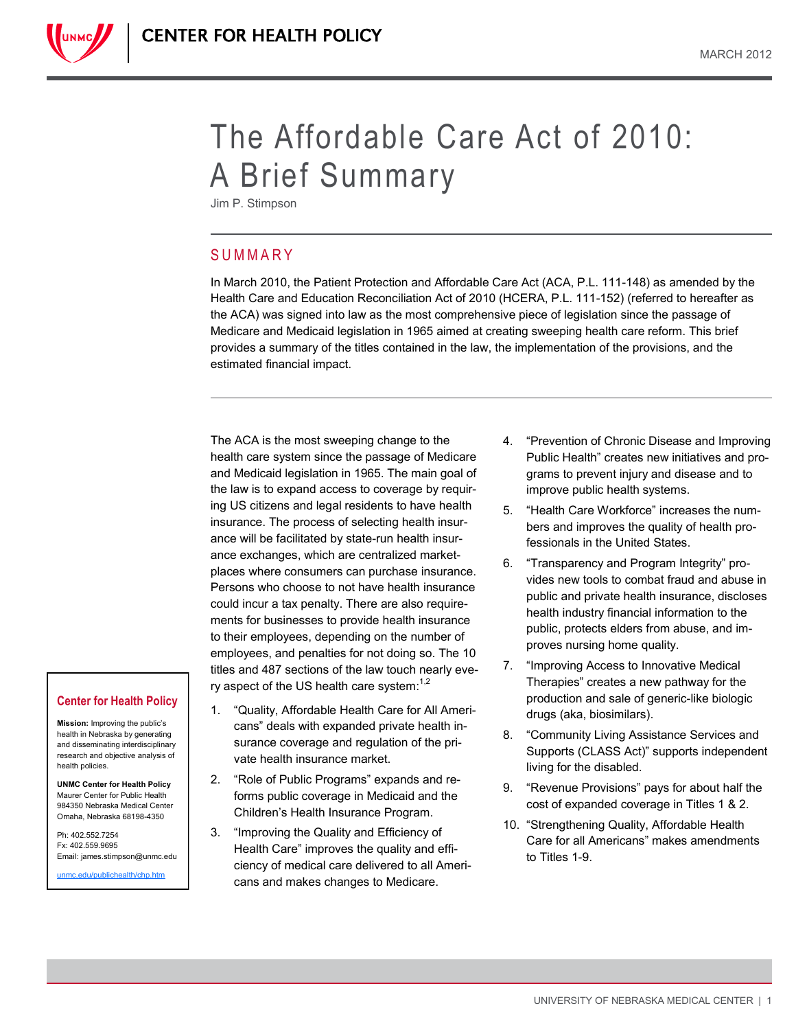

Jim P. Stimpson

# **SUMMARY**

In March 2010, the Patient Protection and Affordable Care Act (ACA, P.L. 111-148) as amended by the Health Care and Education Reconciliation Act of 2010 (HCERA, P.L. 111-152) (referred to hereafter as the ACA) was signed into law as the most comprehensive piece of legislation since the passage of Medicare and Medicaid legislation in 1965 aimed at creating sweeping health care reform. This brief provides a summary of the titles contained in the law, the implementation of the provisions, and the estimated financial impact.

The ACA is the most sweeping change to the health care system since the passage of Medicare and Medicaid legislation in 1965. The main goal of the law is to expand access to coverage by requiring US citizens and legal residents to have health insurance. The process of selecting health insurance will be facilitated by state-run health insurance exchanges, which are centralized marketplaces where consumers can purchase insurance. Persons who choose to not have health insurance could incur a tax penalty. There are also requirements for businesses to provide health insurance to their employees, depending on the number of employees, and penalties for not doing so. The 10 titles and 487 sections of the law touch nearly every aspect of the US health care system: $1.2$ 

- 1. "Quality, Affordable Health Care for All Americans" deals with expanded private health insurance coverage and regulation of the private health insurance market.
- 2. "Role of Public Programs" expands and reforms public coverage in Medicaid and the Children's Health Insurance Program.
- 3. "Improving the Quality and Efficiency of Health Care" improves the quality and efficiency of medical care delivered to all Americans and makes changes to Medicare.
- 4. "Prevention of Chronic Disease and Improving Public Health" creates new initiatives and programs to prevent injury and disease and to improve public health systems.
- 5. "Health Care Workforce" increases the numbers and improves the quality of health professionals in the United States.
- 6. "Transparency and Program Integrity" provides new tools to combat fraud and abuse in public and private health insurance, discloses health industry financial information to the public, protects elders from abuse, and improves nursing home quality.
- 7. "Improving Access to Innovative Medical Therapies" creates a new pathway for the production and sale of generic-like biologic drugs (aka, biosimilars).
- 8. "Community Living Assistance Services and Supports (CLASS Act)" supports independent living for the disabled.
- 9. "Revenue Provisions" pays for about half the cost of expanded coverage in Titles 1 & 2.
- 10. "Strengthening Quality, Affordable Health Care for all Americans" makes amendments to Titles 1-9.

# **Center for Health Policy**

**Mission:** Improving the public's health in Nebraska by generating and disseminating interdisciplinary research and objective analysis of health policies.

**UNMC Center for Health Policy** Maurer Center for Public Health 984350 Nebraska Medical Center Omaha, Nebraska 68198-4350

Ph: 402.552.7254 Fx: 402.559.9695 Email: james.stimpson@unmc.edu

[unmc.edu/publichealth/chp.htm](http://www.unmc.edu/publichealth/chp.htm)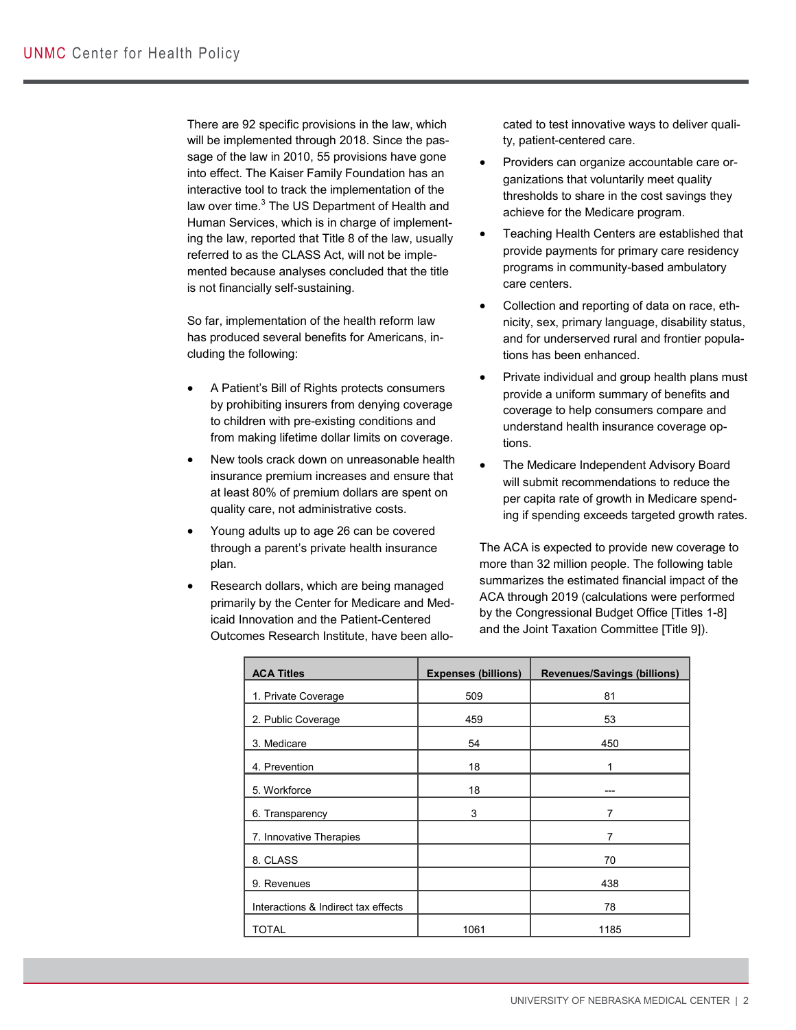There are 92 specific provisions in the law, which will be implemented through 2018. Since the passage of the law in 2010, 55 provisions have gone into effect. The Kaiser Family Foundation has an interactive tool to track the implementation of the law over time.<sup>3</sup> The US Department of Health and Human Services, which is in charge of implementing the law, reported that Title 8 of the law, usually referred to as the CLASS Act, will not be implemented because analyses concluded that the title is not financially self-sustaining.

So far, implementation of the health reform law has produced several benefits for Americans, including the following:

- A Patient's Bill of Rights protects consumers by prohibiting insurers from denying coverage to children with pre-existing conditions and from making lifetime dollar limits on coverage.
- New tools crack down on unreasonable health insurance premium increases and ensure that at least 80% of premium dollars are spent on quality care, not administrative costs.
- Young adults up to age 26 can be covered through a parent's private health insurance plan.
- Research dollars, which are being managed primarily by the Center for Medicare and Medicaid Innovation and the Patient-Centered Outcomes Research Institute, have been allo-

cated to test innovative ways to deliver quality, patient-centered care.

- Providers can organize accountable care organizations that voluntarily meet quality thresholds to share in the cost savings they achieve for the Medicare program.
- Teaching Health Centers are established that provide payments for primary care residency programs in community-based ambulatory care centers.
- Collection and reporting of data on race, ethnicity, sex, primary language, disability status, and for underserved rural and frontier populations has been enhanced.
- Private individual and group health plans must provide a uniform summary of benefits and coverage to help consumers compare and understand health insurance coverage options.
- The Medicare Independent Advisory Board will submit recommendations to reduce the per capita rate of growth in Medicare spending if spending exceeds targeted growth rates.

The ACA is expected to provide new coverage to more than 32 million people. The following table summarizes the estimated financial impact of the ACA through 2019 (calculations were performed by the Congressional Budget Office [Titles 1-8] and the Joint Taxation Committee [Title 9]).

| <b>ACA Titles</b>                   | <b>Expenses (billions)</b> | <b>Revenues/Savings (billions)</b> |
|-------------------------------------|----------------------------|------------------------------------|
| 1. Private Coverage                 | 509                        | 81                                 |
| 2. Public Coverage                  | 459                        | 53                                 |
| 3. Medicare                         | 54                         | 450                                |
| 4. Prevention                       | 18                         | 1                                  |
| 5. Workforce                        | 18                         |                                    |
| 6. Transparency                     | 3                          | 7                                  |
| 7. Innovative Therapies             |                            | 7                                  |
| 8. CLASS                            |                            | 70                                 |
| 9. Revenues                         |                            | 438                                |
| Interactions & Indirect tax effects |                            | 78                                 |
| <b>TOTAL</b>                        | 1061                       | 1185                               |